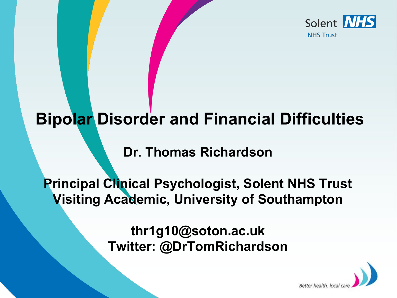

### **Bipolar Disorder and Financial Difficulties**

#### **Dr. Thomas Richardson**

#### **Principal Clinical Psychologist, Solent NHS Trust Visiting Academic, University of Southampton**

**thr1g10@soton.ac.uk Twitter: @DrTomRichardson**

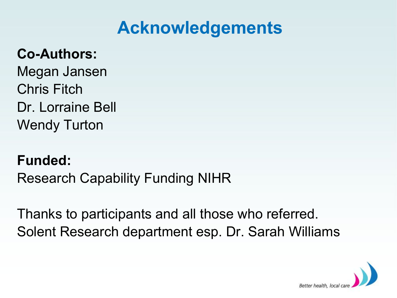## **Acknowledgements**

#### **Co-Authors:**

Megan Jansen Chris Fitch Dr. Lorraine Bell Wendy Turton

#### **Funded:**  Research Capability Funding NIHR

Thanks to participants and all those who referred. Solent Research department esp. Dr. Sarah Williams

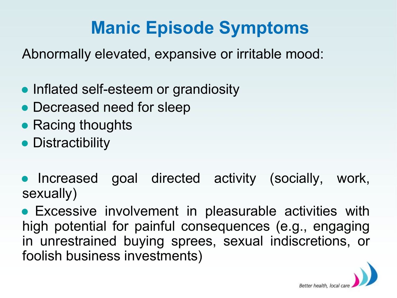# **Manic Episode Symptoms**

Abnormally elevated, expansive or irritable mood:

- Inflated self-esteem or grandiosity
- Decreased need for sleep
- Racing thoughts
- Distractibility
- Increased goal directed activity (socially, work, sexually)

● Excessive involvement in pleasurable activities with high potential for painful consequences (e.g., engaging in unrestrained buying sprees, sexual indiscretions, or foolish business investments)

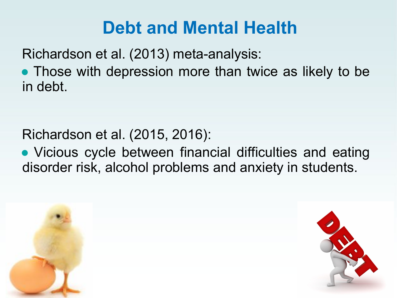## **Debt and Mental Health**

Richardson et al. (2013) meta-analysis:

• Those with depression more than twice as likely to be in debt.

Richardson et al. (2015, 2016):

● Vicious cycle between financial difficulties and eating disorder risk, alcohol problems and anxiety in students.



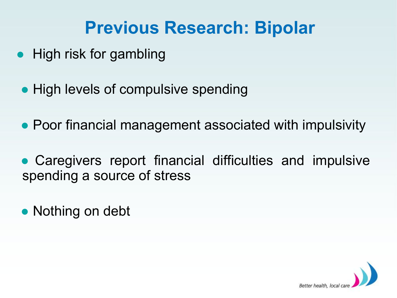## **Previous Research: Bipolar**

- High risk for gambling
- High levels of compulsive spending
- Poor financial management associated with impulsivity
- Caregivers report financial difficulties and impulsive spending a source of stress
- Nothing on debt

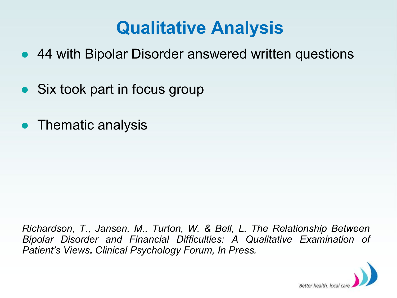## **Qualitative Analysis**

- 44 with Bipolar Disorder answered written questions
- Six took part in focus group
- Thematic analysis

*Richardson, T., Jansen, M., Turton, W. & Bell, L. The Relationship Between Bipolar Disorder and Financial Difficulties: A Qualitative Examination of Patient's Views. Clinical Psychology Forum, In Press.*

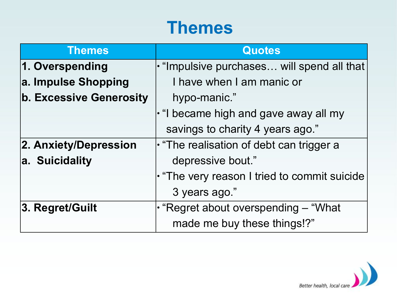## **Themes**

| <b>Themes</b>                  | <b>Quotes</b>                                      |
|--------------------------------|----------------------------------------------------|
| 1. Overspending                | $\cdot$ "Impulsive purchases will spend all that   |
| a. Impulse Shopping            | I have when I am manic or                          |
| <b>b. Excessive Generosity</b> | hypo-manic."                                       |
|                                | $\cdot$ "I became high and gave away all my        |
|                                | savings to charity 4 years ago."                   |
| 2. Anxiety/Depression          | $\cdot$ "The realisation of debt can trigger a     |
| a. Suicidality                 | depressive bout."                                  |
|                                | $\cdot$ "The very reason I tried to commit suicide |
|                                | 3 years ago."                                      |
| 3. Regret/Guilt                | l· "Regret about overspending – "What              |
|                                | made me buy these things!?"                        |

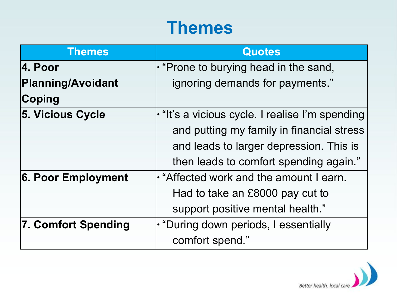## **Themes**

| <b>Themes</b>            | <b>Quotes</b>                                         |
|--------------------------|-------------------------------------------------------|
| <b>4. Poor</b>           | . "Prone to burying head in the sand,                 |
| <b>Planning/Avoidant</b> | ignoring demands for payments."                       |
| <b>Coping</b>            |                                                       |
| 5. Vicious Cycle         | $\cdot$ "It's a vicious cycle. I realise I'm spending |
|                          | and putting my family in financial stress             |
|                          | and leads to larger depression. This is               |
|                          | then leads to comfort spending again."                |
| 6. Poor Employment       | . "Affected work and the amount I earn.               |
|                          | Had to take an £8000 pay cut to                       |
|                          | support positive mental health."                      |
| 7. Comfort Spending      | • "During down periods, I essentially                 |
|                          | comfort spend."                                       |

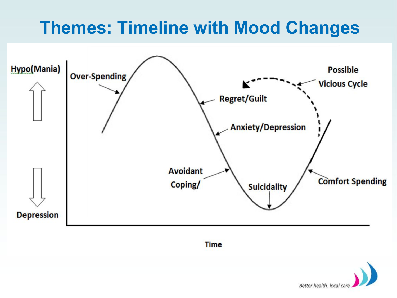## **Themes: Timeline with Mood Changes**



**Time** 

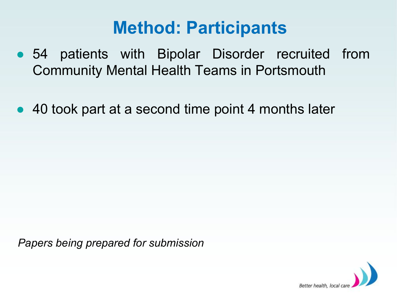## **Method: Participants**

- 54 patients with Bipolar Disorder recruited from Community Mental Health Teams in Portsmouth
- 40 took part at a second time point 4 months later

*Papers being prepared for submission*

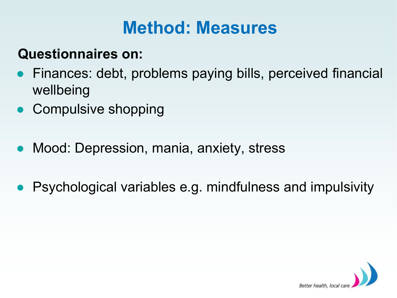## **Method: Measures**

#### **Questionnaires on:**

- Finances: debt, problems paying bills, perceived financial wellbeing
- Compulsive shopping
- Mood: Depression, mania, anxiety, stress
- Psychological variables e.g. mindfulness and impulsivity

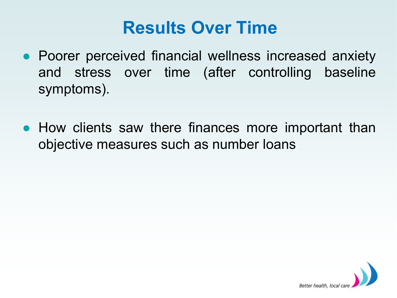## **Results Over Time**

- Poorer perceived financial wellness increased anxiety and stress over time (after controlling baseline symptoms).
- How clients saw there finances more important than objective measures such as number loans

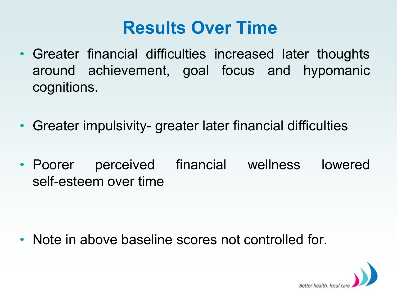## **Results Over Time**

- Greater financial difficulties increased later thoughts around achievement, goal focus and hypomanic cognitions.
- Greater impulsivity- greater later financial difficulties
- Poorer perceived financial wellness lowered self-esteem over time

• Note in above baseline scores not controlled for.

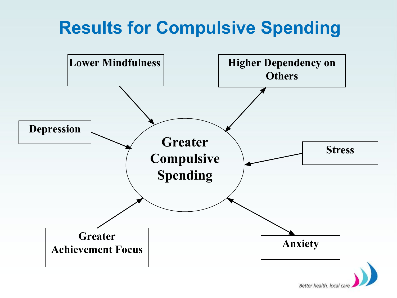# **Results for Compulsive Spending**

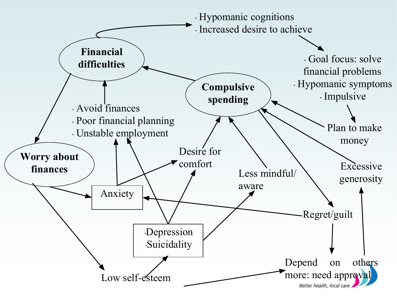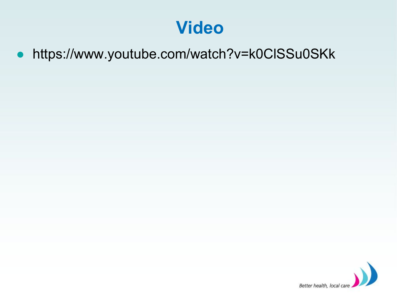### **Video**

#### ● https://www.youtube.com/watch?v=k0ClSSu0SKk